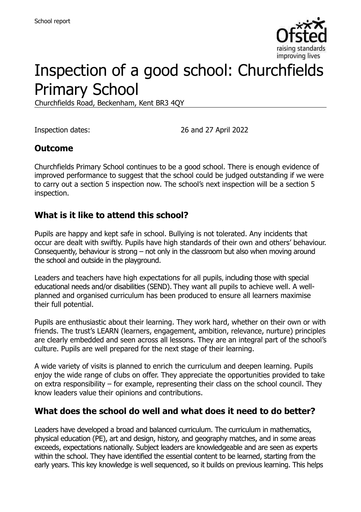

# Inspection of a good school: Churchfields Primary School

Churchfields Road, Beckenham, Kent BR3 4QY

Inspection dates: 26 and 27 April 2022

#### **Outcome**

Churchfields Primary School continues to be a good school. There is enough evidence of improved performance to suggest that the school could be judged outstanding if we were to carry out a section 5 inspection now. The school's next inspection will be a section 5 inspection.

#### **What is it like to attend this school?**

Pupils are happy and kept safe in school. Bullying is not tolerated. Any incidents that occur are dealt with swiftly. Pupils have high standards of their own and others' behaviour. Consequently, behaviour is strong – not only in the classroom but also when moving around the school and outside in the playground.

Leaders and teachers have high expectations for all pupils, including those with special educational needs and/or disabilities (SEND). They want all pupils to achieve well. A wellplanned and organised curriculum has been produced to ensure all learners maximise their full potential.

Pupils are enthusiastic about their learning. They work hard, whether on their own or with friends. The trust's LEARN (learners, engagement, ambition, relevance, nurture) principles are clearly embedded and seen across all lessons. They are an integral part of the school's culture. Pupils are well prepared for the next stage of their learning.

A wide variety of visits is planned to enrich the curriculum and deepen learning. Pupils enjoy the wide range of clubs on offer. They appreciate the opportunities provided to take on extra responsibility – for example, representing their class on the school council. They know leaders value their opinions and contributions.

### **What does the school do well and what does it need to do better?**

Leaders have developed a broad and balanced curriculum. The curriculum in mathematics, physical education (PE), art and design, history, and geography matches, and in some areas exceeds, expectations nationally. Subject leaders are knowledgeable and are seen as experts within the school. They have identified the essential content to be learned, starting from the early years. This key knowledge is well sequenced, so it builds on previous learning. This helps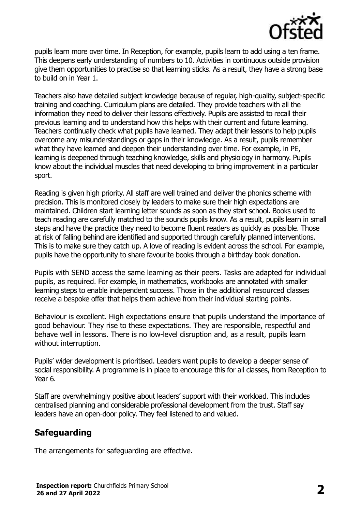

pupils learn more over time. In Reception, for example, pupils learn to add using a ten frame. This deepens early understanding of numbers to 10. Activities in continuous outside provision give them opportunities to practise so that learning sticks. As a result, they have a strong base to build on in Year 1.

Teachers also have detailed subject knowledge because of regular, high-quality, subject-specific training and coaching. Curriculum plans are detailed. They provide teachers with all the information they need to deliver their lessons effectively. Pupils are assisted to recall their previous learning and to understand how this helps with their current and future learning. Teachers continually check what pupils have learned. They adapt their lessons to help pupils overcome any misunderstandings or gaps in their knowledge. As a result, pupils remember what they have learned and deepen their understanding over time. For example, in PE, learning is deepened through teaching knowledge, skills and physiology in harmony. Pupils know about the individual muscles that need developing to bring improvement in a particular sport.

Reading is given high priority. All staff are well trained and deliver the phonics scheme with precision. This is monitored closely by leaders to make sure their high expectations are maintained. Children start learning letter sounds as soon as they start school. Books used to teach reading are carefully matched to the sounds pupils know. As a result, pupils learn in small steps and have the practice they need to become fluent readers as quickly as possible. Those at risk of falling behind are identified and supported through carefully planned interventions. This is to make sure they catch up. A love of reading is evident across the school. For example, pupils have the opportunity to share favourite books through a birthday book donation.

Pupils with SEND access the same learning as their peers. Tasks are adapted for individual pupils, as required. For example, in mathematics, workbooks are annotated with smaller learning steps to enable independent success. Those in the additional resourced classes receive a bespoke offer that helps them achieve from their individual starting points.

Behaviour is excellent. High expectations ensure that pupils understand the importance of good behaviour. They rise to these expectations. They are responsible, respectful and behave well in lessons. There is no low-level disruption and, as a result, pupils learn without interruption.

Pupils' wider development is prioritised. Leaders want pupils to develop a deeper sense of social responsibility. A programme is in place to encourage this for all classes, from Reception to Year 6.

Staff are overwhelmingly positive about leaders' support with their workload. This includes centralised planning and considerable professional development from the trust. Staff say leaders have an open-door policy. They feel listened to and valued.

# **Safeguarding**

The arrangements for safeguarding are effective.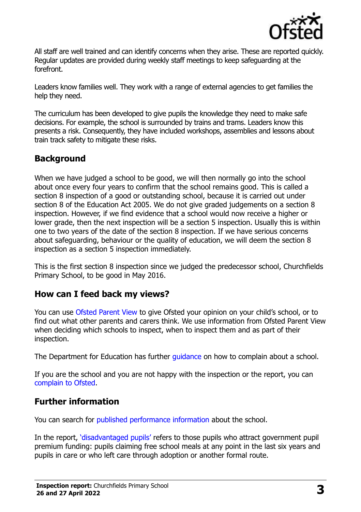

All staff are well trained and can identify concerns when they arise. These are reported quickly. Regular updates are provided during weekly staff meetings to keep safeguarding at the forefront.

Leaders know families well. They work with a range of external agencies to get families the help they need.

The curriculum has been developed to give pupils the knowledge they need to make safe decisions. For example, the school is surrounded by trains and trams. Leaders know this presents a risk. Consequently, they have included workshops, assemblies and lessons about train track safety to mitigate these risks.

# **Background**

When we have judged a school to be good, we will then normally go into the school about once every four years to confirm that the school remains good. This is called a section 8 inspection of a good or outstanding school, because it is carried out under section 8 of the Education Act 2005. We do not give graded judgements on a section 8 inspection. However, if we find evidence that a school would now receive a higher or lower grade, then the next inspection will be a section 5 inspection. Usually this is within one to two years of the date of the section 8 inspection. If we have serious concerns about safeguarding, behaviour or the quality of education, we will deem the section 8 inspection as a section 5 inspection immediately.

This is the first section 8 inspection since we judged the predecessor school, Churchfields Primary School, to be good in May 2016.

### **How can I feed back my views?**

You can use [Ofsted Parent View](https://parentview.ofsted.gov.uk/) to give Ofsted your opinion on your child's school, or to find out what other parents and carers think. We use information from Ofsted Parent View when deciding which schools to inspect, when to inspect them and as part of their inspection.

The Department for Education has further [guidance](http://www.gov.uk/complain-about-school) on how to complain about a school.

If you are the school and you are not happy with the inspection or the report, you can [complain to Ofsted.](https://www.gov.uk/complain-ofsted-report)

### **Further information**

You can search for [published performance information](http://www.compare-school-performance.service.gov.uk/) about the school.

In the report, '[disadvantaged pupils](http://www.gov.uk/guidance/pupil-premium-information-for-schools-and-alternative-provision-settings)' refers to those pupils who attract government pupil premium funding: pupils claiming free school meals at any point in the last six years and pupils in care or who left care through adoption or another formal route.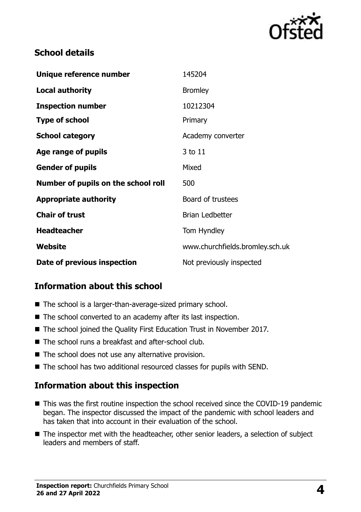

# **School details**

| Unique reference number             | 145204                          |
|-------------------------------------|---------------------------------|
| <b>Local authority</b>              | <b>Bromley</b>                  |
| <b>Inspection number</b>            | 10212304                        |
| <b>Type of school</b>               | Primary                         |
| <b>School category</b>              | Academy converter               |
| Age range of pupils                 | 3 to 11                         |
| <b>Gender of pupils</b>             | Mixed                           |
| Number of pupils on the school roll | 500                             |
| <b>Appropriate authority</b>        | Board of trustees               |
| <b>Chair of trust</b>               | <b>Brian Ledbetter</b>          |
| <b>Headteacher</b>                  | Tom Hyndley                     |
| Website                             | www.churchfields.bromley.sch.uk |
| Date of previous inspection         | Not previously inspected        |

# **Information about this school**

- The school is a larger-than-average-sized primary school.
- The school converted to an academy after its last inspection.
- The school joined the Quality First Education Trust in November 2017.
- The school runs a breakfast and after-school club.
- The school does not use any alternative provision.
- The school has two additional resourced classes for pupils with SEND.

### **Information about this inspection**

- This was the first routine inspection the school received since the COVID-19 pandemic began. The inspector discussed the impact of the pandemic with school leaders and has taken that into account in their evaluation of the school.
- The inspector met with the headteacher, other senior leaders, a selection of subject leaders and members of staff.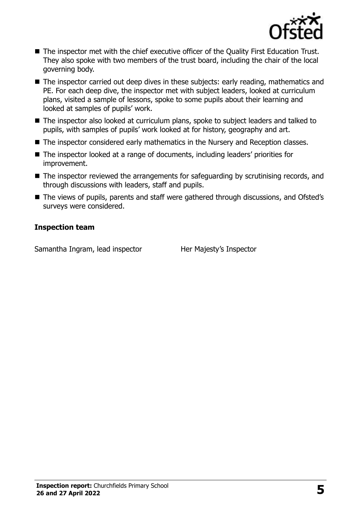

- The inspector met with the chief executive officer of the Quality First Education Trust. They also spoke with two members of the trust board, including the chair of the local governing body.
- The inspector carried out deep dives in these subiects: early reading, mathematics and PE. For each deep dive, the inspector met with subject leaders, looked at curriculum plans, visited a sample of lessons, spoke to some pupils about their learning and looked at samples of pupils' work.
- The inspector also looked at curriculum plans, spoke to subject leaders and talked to pupils, with samples of pupils' work looked at for history, geography and art.
- The inspector considered early mathematics in the Nursery and Reception classes.
- The inspector looked at a range of documents, including leaders' priorities for improvement.
- The inspector reviewed the arrangements for safeguarding by scrutinising records, and through discussions with leaders, staff and pupils.
- The views of pupils, parents and staff were gathered through discussions, and Ofsted's surveys were considered.

#### **Inspection team**

Samantha Ingram, lead inspector Her Majesty's Inspector